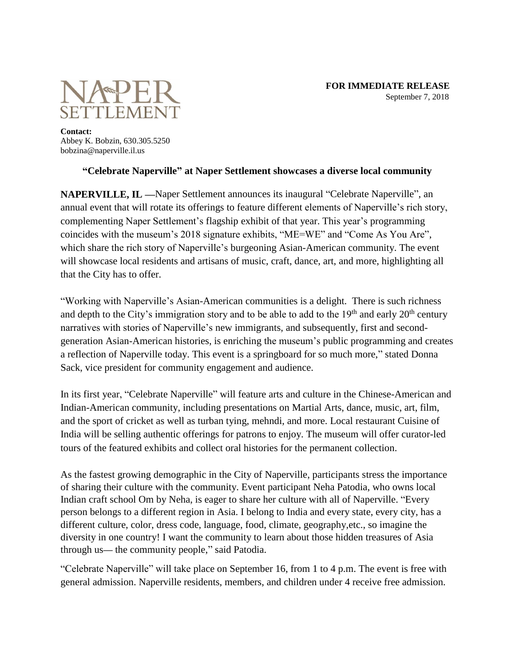

**Contact:** Abbey K. Bobzin, 630.305.5250 bobzina@naperville.il.us

## **"Celebrate Naperville" at Naper Settlement showcases a diverse local community**

**NAPERVILLE, IL —**Naper Settlement announces its inaugural "Celebrate Naperville", an annual event that will rotate its offerings to feature different elements of Naperville's rich story, complementing Naper Settlement's flagship exhibit of that year. This year's programming coincides with the museum's 2018 signature exhibits, "ME=WE" and "Come As You Are", which share the rich story of Naperville's burgeoning Asian-American community. The event will showcase local residents and artisans of music, craft, dance, art, and more, highlighting all that the City has to offer.

"Working with Naperville's Asian-American communities is a delight. There is such richness and depth to the City's immigration story and to be able to add to the  $19<sup>th</sup>$  and early  $20<sup>th</sup>$  century narratives with stories of Naperville's new immigrants, and subsequently, first and secondgeneration Asian-American histories, is enriching the museum's public programming and creates a reflection of Naperville today. This event is a springboard for so much more," stated Donna Sack, vice president for community engagement and audience.

In its first year, "Celebrate Naperville" will feature arts and culture in the Chinese-American and Indian-American community, including presentations on Martial Arts, dance, music, art, film, and the sport of cricket as well as turban tying, mehndi, and more. Local restaurant Cuisine of India will be selling authentic offerings for patrons to enjoy. The museum will offer curator-led tours of the featured exhibits and collect oral histories for the permanent collection.

As the fastest growing demographic in the City of Naperville, participants stress the importance of sharing their culture with the community. Event participant Neha Patodia, who owns local Indian craft school Om by Neha, is eager to share her culture with all of Naperville. "Every person belongs to a different region in Asia. I belong to India and every state, every city, has a different culture, color, dress code, language, food, climate, geography,etc., so imagine the diversity in one country! I want the community to learn about those hidden treasures of Asia through us**—** the community people," said Patodia.

"Celebrate Naperville" will take place on September 16, from 1 to 4 p.m. The event is free with general admission. Naperville residents, members, and children under 4 receive free admission.